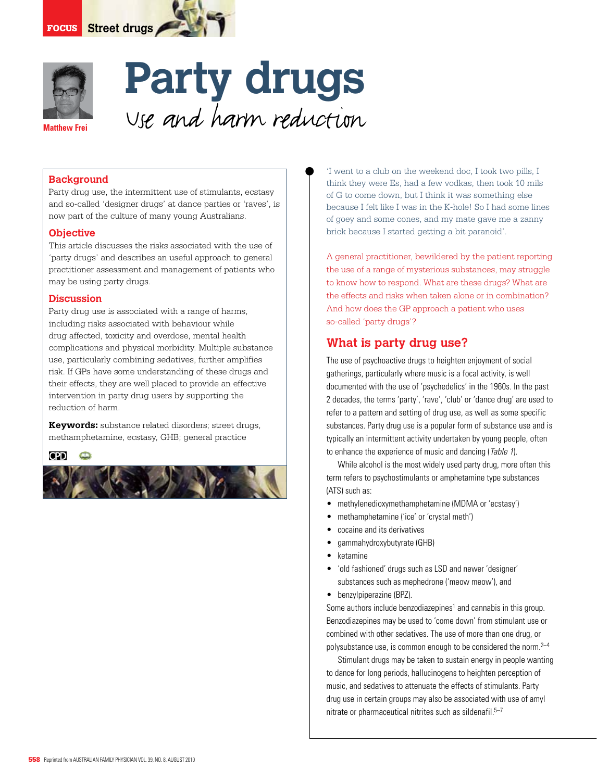



# **Party drugs**  Use and harm reduction

### **Background**

Party drug use, the intermittent use of stimulants, ecstasy and so-called 'designer drugs' at dance parties or 'raves', is now part of the culture of many young Australians.

### **Objective**

This article discusses the risks associated with the use of 'party drugs' and describes an useful approach to general practitioner assessment and management of patients who may be using party drugs.

### **Discussion**

Party drug use is associated with a range of harms, including risks associated with behaviour while drug affected, toxicity and overdose, mental health complications and physical morbidity. Multiple substance use, particularly combining sedatives, further amplifies risk. If GPs have some understanding of these drugs and their effects, they are well placed to provide an effective intervention in party drug users by supporting the reduction of harm.

**Keywords:** substance related disorders; street drugs, methamphetamine, ecstasy, GHB; general practice

### **CPD**



'I went to a club on the weekend doc, I took two pills, I think they were Es, had a few vodkas, then took 10 mils of G to come down, but I think it was something else because I felt like I was in the K-hole! So I had some lines of goey and some cones, and my mate gave me a zanny brick because I started getting a bit paranoid'.

A general practitioner, bewildered by the patient reporting the use of a range of mysterious substances, may struggle to know how to respond. What are these drugs? What are the effects and risks when taken alone or in combination? And how does the GP approach a patient who uses so-called 'party drugs'?

# **What is party drug use?**

The use of psychoactive drugs to heighten enjoyment of social gatherings, particularly where music is a focal activity, is well documented with the use of 'psychedelics' in the 1960s. In the past 2 decades, the terms 'party', 'rave', 'club' or 'dance drug' are used to refer to a pattern and setting of drug use, as well as some specific substances. Party drug use is a popular form of substance use and is typically an intermittent activity undertaken by young people, often to enhance the experience of music and dancing (Table 1).

While alcohol is the most widely used party drug, more often this term refers to psychostimulants or amphetamine type substances (ATS) such as:

- methylenedioxymethamphetamine (MDMA or 'ecstasy')
- methamphetamine ('ice' or 'crystal meth')
- cocaine and its derivatives
- gammahydroxybutyrate (GHB)
- **ketamine**
- 'old fashioned' drugs such as LSD and newer 'designer' substances such as mephedrone ('meow meow'), and
- benzylpiperazine (BPZ).

Some authors include benzodiazepines<sup>1</sup> and cannabis in this group. Benzodiazepines may be used to 'come down' from stimulant use or combined with other sedatives. The use of more than one drug, or polysubstance use, is common enough to be considered the norm.<sup>2-4</sup>

 Stimulant drugs may be taken to sustain energy in people wanting to dance for long periods, hallucinogens to heighten perception of music, and sedatives to attenuate the effects of stimulants. Party drug use in certain groups may also be associated with use of amyl nitrate or pharmaceutical nitrites such as sildenafil.<sup>5-7</sup>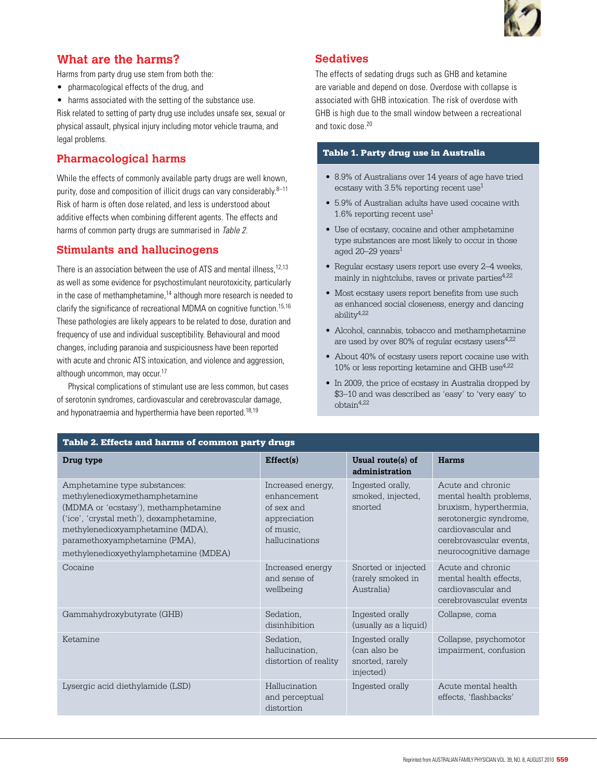

# **What are the harms?**

Harms from party drug use stem from both the:

- • pharmacological effects of the drug, and
- harms associated with the setting of the substance use.

Risk related to setting of party drug use includes unsafe sex, sexual or physical assault, physical injury including motor vehicle trauma, and legal problems.

# **Pharmacological harms**

While the effects of commonly available party drugs are well known, purity, dose and composition of illicit drugs can vary considerably.8–11 Risk of harm is often dose related, and less is understood about additive effects when combining different agents. The effects and harms of common party drugs are summarised in Table 2.

# **Stimulants and hallucinogens**

There is an association between the use of ATS and mental illness,<sup>12,13</sup> as well as some evidence for psychostimulant neurotoxicity, particularly in the case of methamphetamine, $14$  although more research is needed to clarify the significance of recreational MDMA on cognitive function.15,16 These pathologies are likely appears to be related to dose, duration and frequency of use and individual susceptibility. Behavioural and mood changes, including paranoia and suspiciousness have been reported with acute and chronic ATS intoxication, and violence and aggression, although uncommon, may occur.<sup>17</sup>

Physical complications of stimulant use are less common, but cases of serotonin syndromes, cardiovascular and cerebrovascular damage, and hyponatraemia and hyperthermia have been reported.<sup>18,19</sup>

# **Sedatives**

The effects of sedating drugs such as GHB and ketamine are variable and depend on dose. Overdose with collapse is associated with GHB intoxication. The risk of overdose with GHB is high due to the small window between a recreational and toxic dose.<sup>20</sup>

# Table 1. Party drug use in Australia

- 8.9% of Australians over 14 years of age have tried ecstasy with  $3.5\%$  reporting recent use<sup>1</sup>
- • 5.9% of Australian adults have used cocaine with 1.6% reporting recent use1
- Use of ecstasy, cocaine and other amphetamine type substances are most likely to occur in those aged  $20-29$  years<sup>1</sup>
- Regular ecstasy users report use every 2-4 weeks, mainly in nightclubs, raves or private parties<sup>4,22</sup>
- Most ecstasy users report benefits from use such as enhanced social closeness, energy and dancing ability4,22
- Alcohol, cannabis, tobacco and methamphetamine are used by over 80% of regular ecstasy users $4.22$
- About 40% of ecstasy users report cocaine use with 10% or less reporting ketamine and GHB use $4.22$
- In 2009, the price of ecstasy in Australia dropped by \$3–10 and was described as 'easy' to 'very easy' to obtain4,22

| Table 2. Effects and harms of common party drugs                                                                                                                                                                                                                |                                                                                               |                                                                 |                                                                                                                                                                            |
|-----------------------------------------------------------------------------------------------------------------------------------------------------------------------------------------------------------------------------------------------------------------|-----------------------------------------------------------------------------------------------|-----------------------------------------------------------------|----------------------------------------------------------------------------------------------------------------------------------------------------------------------------|
| Drug type                                                                                                                                                                                                                                                       | Effect(s)                                                                                     | Usual route(s) of<br>administration                             | Harms                                                                                                                                                                      |
| Amphetamine type substances:<br>methylenedioxymethamphetamine<br>(MDMA or 'ecstasy'), methamphetamine<br>('ice', 'crystal meth'), dexamphetamine,<br>methylenedioxyamphetamine (MDA),<br>paramethoxyamphetamine (PMA),<br>methylenedioxyethylamphetamine (MDEA) | Increased energy,<br>enhancement<br>of sex and<br>appreciation<br>of music.<br>hallucinations | Ingested orally,<br>smoked, injected,<br>snorted                | Acute and chronic<br>mental health problems,<br>bruxism, hyperthermia,<br>serotonergic syndrome,<br>cardiovascular and<br>cerebrovascular events,<br>neurocognitive damage |
| Cocaine                                                                                                                                                                                                                                                         | Increased energy<br>and sense of<br>wellbeing                                                 | Snorted or injected<br>(rarely smoked in<br>Australia)          | Acute and chronic<br>mental health effects,<br>cardiovascular and<br>cerebrovascular events                                                                                |
| Gammahydroxybutyrate (GHB)                                                                                                                                                                                                                                      | Sedation,<br>disinhibition                                                                    | Ingested orally<br>(usually as a liquid)                        | Collapse, coma                                                                                                                                                             |
| Ketamine                                                                                                                                                                                                                                                        | Sedation,<br>hallucination.<br>distortion of reality                                          | Ingested orally<br>(can also be<br>snorted, rarely<br>injected) | Collapse, psychomotor<br>impairment, confusion                                                                                                                             |
| Lysergic acid diethylamide (LSD)                                                                                                                                                                                                                                | Hallucination<br>and perceptual<br>distortion                                                 | Ingested orally                                                 | Acute mental health<br>effects, 'flashbacks'                                                                                                                               |
|                                                                                                                                                                                                                                                                 |                                                                                               |                                                                 |                                                                                                                                                                            |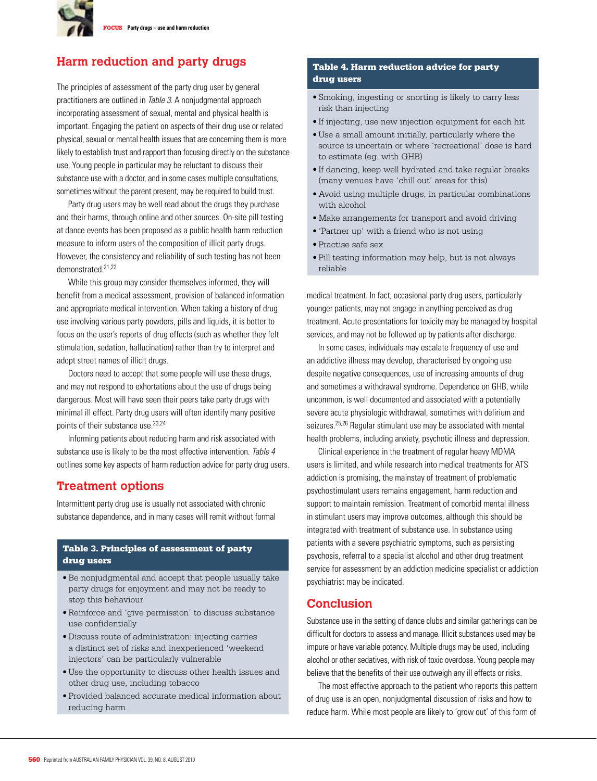

# **Harm reduction and party drugs**

The principles of assessment of the party drug user by general practitioners are outlined in Table 3. A nonjudgmental approach incorporating assessment of sexual, mental and physical health is important. Engaging the patient on aspects of their drug use or related physical, sexual or mental health issues that are concerning them is more likely to establish trust and rapport than focusing directly on the substance use. Young people in particular may be reluctant to discuss their substance use with a doctor, and in some cases multiple consultations, sometimes without the parent present, may be required to build trust.

Party drug users may be well read about the drugs they purchase and their harms, through online and other sources. On-site pill testing at dance events has been proposed as a public health harm reduction measure to inform users of the composition of illicit party drugs. However, the consistency and reliability of such testing has not been demonstrated.21,22

While this group may consider themselves informed, they will benefit from a medical assessment, provision of balanced information and appropriate medical intervention. When taking a history of drug use involving various party powders, pills and liquids, it is better to focus on the user's reports of drug effects (such as whether they felt stimulation, sedation, hallucination) rather than try to interpret and adopt street names of illicit drugs.

 Doctors need to accept that some people will use these drugs, and may not respond to exhortations about the use of drugs being dangerous. Most will have seen their peers take party drugs with minimal ill effect. Party drug users will often identify many positive points of their substance use.<sup>23,24</sup>

 Informing patients about reducing harm and risk associated with substance use is likely to be the most effective intervention. Table 4 outlines some key aspects of harm reduction advice for party drug users.

# **Treatment options**

Intermittent party drug use is usually not associated with chronic substance dependence, and in many cases will remit without formal

### Table 3. Principles of assessment of party drug users

- • Be nonjudgmental and accept that people usually take party drugs for enjoyment and may not be ready to stop this behaviour
- • Reinforce and 'give permission' to discuss substance use confidentially
- • Discuss route of administration: injecting carries a distinct set of risks and inexperienced 'weekend injectors' can be particularly vulnerable
- • Use the opportunity to discuss other health issues and other drug use, including tobacco
- • Provided balanced accurate medical information about reducing harm

# Table 4. Harm reduction advice for party drug users

- • Smoking, ingesting or snorting is likely to carry less risk than injecting
- If injecting, use new injection equipment for each hit
- • Use a small amount initially, particularly where the source is uncertain or where 'recreational' dose is hard to estimate (eg. with GHB)
- If dancing, keep well hydrated and take regular breaks (many venues have 'chill out' areas for this)
- • Avoid using multiple drugs, in particular combinations with alcohol
- Make arrangements for transport and avoid driving
- • 'Partner up' with a friend who is not using
- • Practise safe sex
- • Pill testing information may help, but is not always reliable

medical treatment. In fact, occasional party drug users, particularly younger patients, may not engage in anything perceived as drug treatment. Acute presentations for toxicity may be managed by hospital services, and may not be followed up by patients after discharge.

 In some cases, individuals may escalate frequency of use and an addictive illness may develop, characterised by ongoing use despite negative consequences, use of increasing amounts of drug and sometimes a withdrawal syndrome. Dependence on GHB, while uncommon, is well documented and associated with a potentially severe acute physiologic withdrawal, sometimes with delirium and seizures.25,26 Regular stimulant use may be associated with mental health problems, including anxiety, psychotic illness and depression.

 Clinical experience in the treatment of regular heavy MDMA users is limited, and while research into medical treatments for ATS addiction is promising, the mainstay of treatment of problematic psychostimulant users remains engagement, harm reduction and support to maintain remission. Treatment of comorbid mental illness in stimulant users may improve outcomes, although this should be integrated with treatment of substance use. In substance using patients with a severe psychiatric symptoms, such as persisting psychosis, referral to a specialist alcohol and other drug treatment service for assessment by an addiction medicine specialist or addiction psychiatrist may be indicated.

# **Conclusion**

Substance use in the setting of dance clubs and similar gatherings can be difficult for doctors to assess and manage. Illicit substances used may be impure or have variable potency. Multiple drugs may be used, including alcohol or other sedatives, with risk of toxic overdose. Young people may believe that the benefits of their use outweigh any ill effects or risks.

 The most effective approach to the patient who reports this pattern of drug use is an open, nonjudgmental discussion of risks and how to reduce harm. While most people are likely to 'grow out' of this form of